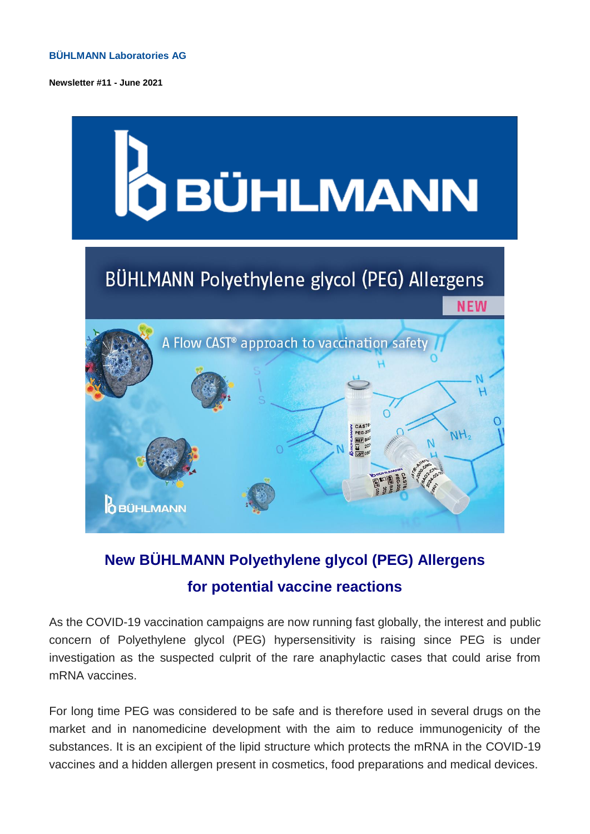**BÜHLMANN Laboratories AG**

**Newsletter #11 - June 2021**



## **New BÜHLMANN Polyethylene glycol (PEG) Allergens for potential vaccine reactions**

As the COVID-19 vaccination campaigns are now running fast globally, the interest and public concern of Polyethylene glycol (PEG) hypersensitivity is raising since PEG is under investigation as the suspected culprit of the rare anaphylactic cases that could arise from mRNA vaccines.

For long time PEG was considered to be safe and is therefore used in several drugs on the market and in nanomedicine development with the aim to reduce immunogenicity of the substances. It is an excipient of the lipid structure which protects the mRNA in the COVID-19 vaccines and a hidden allergen present in cosmetics, food preparations and medical devices.